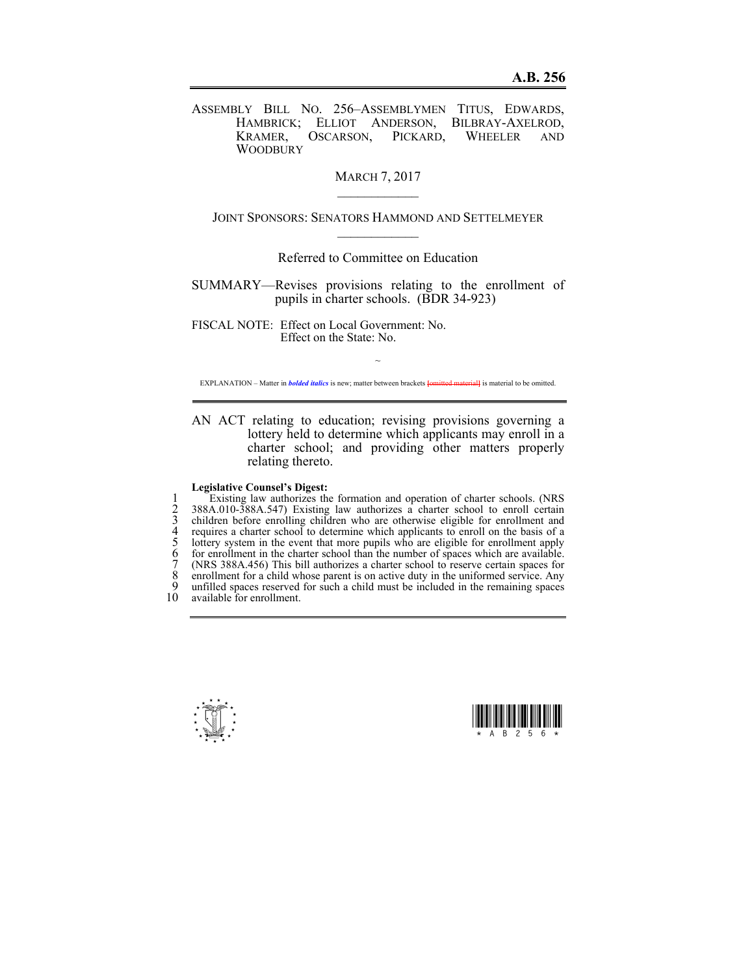ASSEMBLY BILL NO. 256–ASSEMBLYMEN TITUS, EDWARDS, HAMBRICK; ELLIOT ANDERSON, BILBRAY-AXELROD, KRAMER, OSCARSON, PICKARD, WHEELER AND **WOODBURY** 

> MARCH 7, 2017  $\mathcal{L}_\text{max}$

JOINT SPONSORS: SENATORS HAMMOND AND SETTELMEYER  $\mathcal{L}_\text{max}$ 

Referred to Committee on Education

SUMMARY—Revises provisions relating to the enrollment of pupils in charter schools. (BDR 34-923)

FISCAL NOTE: Effect on Local Government: No. Effect on the State: No.

~ EXPLANATION – Matter in *bolded italics* is new; matter between brackets **[**omitted material**]** is material to be omitted.

AN ACT relating to education; revising provisions governing a lottery held to determine which applicants may enroll in a charter school; and providing other matters properly relating thereto.

## **Legislative Counsel's Digest:**

Existing law authorizes the formation and operation of charter schools. (NRS<br>
2 388A.010-388A.547) Existing law authorizes a charter school to enroll certain<br>
3 children before enrolling children who are otherwise eligible 2 388A.010-388A.547) Existing law authorizes a charter school to enroll certain 3 children before enrolling children who are otherwise eligible for enrollment and 4 requires a charter school to determine which applicants to enroll on the basis of a 5 lottery system in the event that more pupils who are eligible for enrollment apply for enrollment in the charter school than the number of spaces which are available. 7 (NRS 388A.456) This bill authorizes a charter school to reserve certain spaces for 8 enrollment for a child whose parent is on active duty in the uniformed service. Any<br>9 unfilled spaces reserved for such a child must be included in the remaining spaces 9 unfilled spaces reserved for such a child must be included in the remaining spaces 10 available for enrollment. available for enrollment.



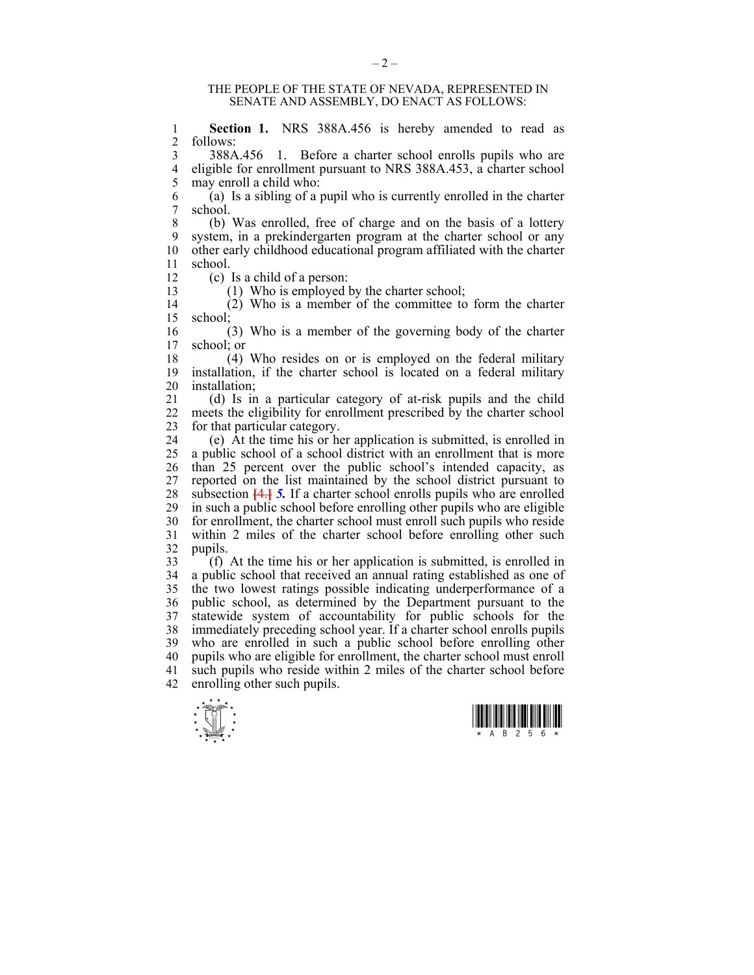## THE PEOPLE OF THE STATE OF NEVADA, REPRESENTED IN SENATE AND ASSEMBLY, DO ENACT AS FOLLOWS:

1 **Section 1.** NRS 388A.456 is hereby amended to read as  $\frac{2}{3}$  follows: follows:

3 388A.456 1. Before a charter school enrolls pupils who are 4 eligible for enrollment pursuant to NRS 388A.453, a charter school 5 may enroll a child who:<br>6 (a) Is a sibling of a

 $(a)$  Is a sibling of a pupil who is currently enrolled in the charter 7 school.

8 (b) Was enrolled, free of charge and on the basis of a lottery 9 system, in a prekindergarten program at the charter school or any 10 other early childhood educational program affiliated with the charter 11 school.

12 (c) Is a child of a person:

13 (1) Who is employed by the charter school;

14 (2) Who is a member of the committee to form the charter 15 school;

16 (3) Who is a member of the governing body of the charter 17 school; or

18 (4) Who resides on or is employed on the federal military 19 installation, if the charter school is located on a federal military 20 installation;<br>21 (d) Is in

21 (d) Is in a particular category of at-risk pupils and the child 22 meets the eligibility for enrollment prescribed by the charter school 23 for that particular category.

24 (e) At the time his or her application is submitted, is enrolled in 25 a public school of a school district with an enrollment that is more 26 than 25 percent over the public school's intended capacity, as<br>27 reported on the list maintained by the school district pursuant to reported on the list maintained by the school district pursuant to 28 subsection **[**4.**]** *5.* If a charter school enrolls pupils who are enrolled 29 in such a public school before enrolling other pupils who are eligible 30 for enrollment, the charter school must enroll such pupils who reside 31 within 2 miles of the charter school before enrolling other such  $\begin{array}{c} 32 \\ 33 \end{array}$  pupils.

 $\hat{A}$  (f) At the time his or her application is submitted, is enrolled in 34 a public school that received an annual rating established as one of 35 the two lowest ratings possible indicating underperformance of a 36 public school, as determined by the Department pursuant to the 37 statewide system of accountability for public schools for the 38 immediately preceding school year. If a charter school enrolls pupils 39 who are enrolled in such a public school before enrolling other 40 pupils who are eligible for enrollment, the charter school must enroll 41 such pupils who reside within 2 miles of the charter school before 42 enrolling other such pupils.